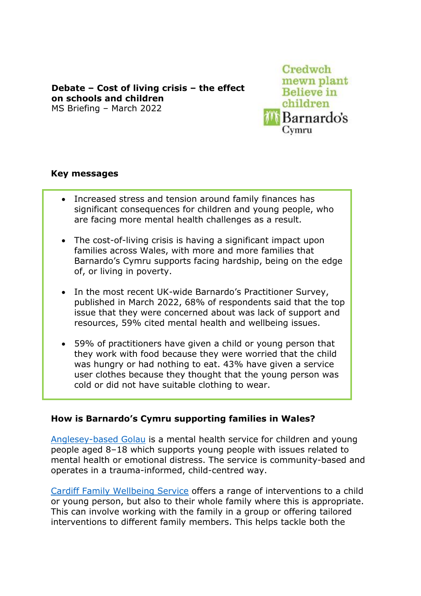**Debate – Cost of living crisis – the effect on schools and children** MS Briefing – March 2022 

Credwch mewn plant **Believe** in children **Barnardo's** Cymru

## **Key messages**

- Increased stress and tension around family finances has significant consequences for children and young people, who are facing more mental health challenges as a result.
- The cost-of-living crisis is having a significant impact upon families across Wales, with more and more families that Barnardo's Cymru supports facing hardship, being on the edge of, or living in poverty.
- In the most recent UK-wide Barnardo's Practitioner Survey, published in March 2022, 68% of respondents said that the top issue that they were concerned about was lack of support and resources, 59% cited mental health and wellbeing issues.
- 59% of practitioners have given a child or young person that they work with food because they were worried that the child was hungry or had nothing to eat. 43% have given a service user clothes because they thought that the young person was cold or did not have suitable clothing to wear.

## **How is Barnardo's Cymru supporting families in Wales?**

[Anglesey-based Golau](https://www.barnardos.org.uk/what-we-do/services/golau) is a mental health service for children and young people aged 8–18 which supports young people with issues related to mental health or emotional distress. The service is community-based and operates in a trauma-informed, child-centred way.

[Cardiff Family Wellbeing Service](https://www.barnardos.org.uk/what-we-do/services/family-wellbeing-service-cardiff) offers a range of interventions to a child or young person, but also to their whole family where this is appropriate. This can involve working with the family in a group or offering tailored interventions to different family members. This helps tackle both the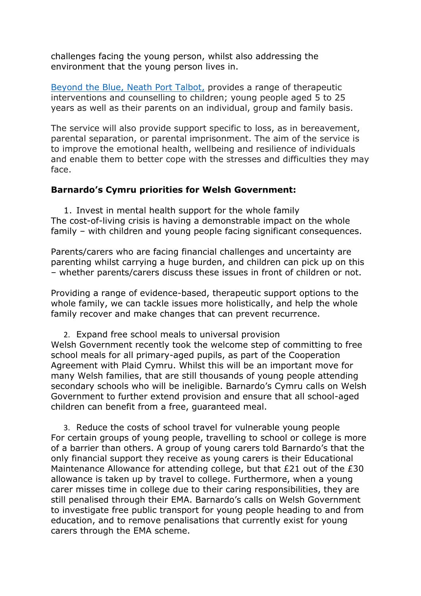challenges facing the young person, whilst also addressing the environment that the young person lives in.

[Beyond the Blue, Neath Port Talbot,](https://www.barnardos.org.uk/what-we-do/services/beyond-blue) provides a range of therapeutic interventions and counselling to children; young people aged 5 to 25 years as well as their parents on an individual, group and family basis.

The service will also provide support specific to loss, as in bereavement, parental separation, or parental imprisonment. The aim of the service is to improve the emotional health, wellbeing and resilience of individuals and enable them to better cope with the stresses and difficulties they may face.

## **Barnardo's Cymru priorities for Welsh Government:**

1. Invest in mental health support for the whole family The cost-of-living crisis is having a demonstrable impact on the whole family – with children and young people facing significant consequences.

Parents/carers who are facing financial challenges and uncertainty are parenting whilst carrying a huge burden, and children can pick up on this – whether parents/carers discuss these issues in front of children or not.

Providing a range of evidence-based, therapeutic support options to the whole family, we can tackle issues more holistically, and help the whole family recover and make changes that can prevent recurrence.

2. Expand free school meals to universal provision Welsh Government recently took the welcome step of committing to free school meals for all primary-aged pupils, as part of the Cooperation Agreement with Plaid Cymru. Whilst this will be an important move for many Welsh families, that are still thousands of young people attending secondary schools who will be ineligible. Barnardo's Cymru calls on Welsh Government to further extend provision and ensure that all school-aged children can benefit from a free, guaranteed meal.

3. Reduce the costs of school travel for vulnerable young people For certain groups of young people, travelling to school or college is more of a barrier than others. A group of young carers told Barnardo's that the only financial support they receive as young carers is their Educational Maintenance Allowance for attending college, but that £21 out of the £30 allowance is taken up by travel to college. Furthermore, when a young carer misses time in college due to their caring responsibilities, they are still penalised through their EMA. Barnardo's calls on Welsh Government to investigate free public transport for young people heading to and from education, and to remove penalisations that currently exist for young carers through the EMA scheme.